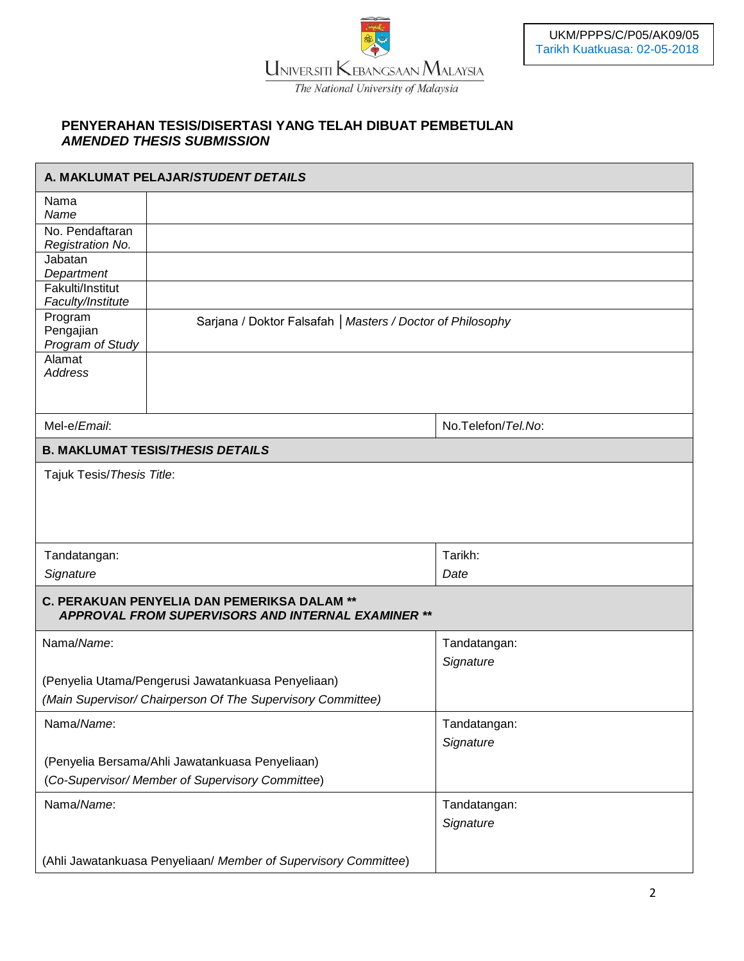

## **PENYERAHAN TESIS/DISERTASI YANG TELAH DIBUAT PEMBETULAN** *AMENDED THESIS SUBMISSION*

| A. MAKLUMAT PELAJAR/STUDENT DETAILS                             |                                                                                                   |                           |  |
|-----------------------------------------------------------------|---------------------------------------------------------------------------------------------------|---------------------------|--|
| Nama<br>Name                                                    |                                                                                                   |                           |  |
| No. Pendaftaran<br>Registration No.                             |                                                                                                   |                           |  |
| Jabatan<br>Department                                           |                                                                                                   |                           |  |
| Fakulti/Institut<br>Faculty/Institute                           |                                                                                                   |                           |  |
| Program<br>Pengajian<br>Program of Study                        | Sarjana / Doktor Falsafah   Masters / Doctor of Philosophy                                        |                           |  |
| Alamat<br><b>Address</b>                                        |                                                                                                   |                           |  |
| Mel-e/Email:                                                    |                                                                                                   | No.Telefon/Tel.No:        |  |
|                                                                 |                                                                                                   |                           |  |
|                                                                 | <b>B. MAKLUMAT TESIS/THESIS DETAILS</b>                                                           |                           |  |
| Tajuk Tesis/Thesis Title:                                       |                                                                                                   |                           |  |
| Tandatangan:                                                    |                                                                                                   | Tarikh:                   |  |
| Signature                                                       |                                                                                                   | Date                      |  |
|                                                                 | C. PERAKUAN PENYELIA DAN PEMERIKSA DALAM **<br>APPROVAL FROM SUPERVISORS AND INTERNAL EXAMINER ** |                           |  |
| Nama/Name:                                                      |                                                                                                   | Tandatangan:<br>Signature |  |
|                                                                 | (Penyelia Utama/Pengerusi Jawatankuasa Penyeliaan)                                                |                           |  |
| (Main Supervisor/ Chairperson Of The Supervisory Committee)     |                                                                                                   |                           |  |
| Nama/Name:                                                      |                                                                                                   | Tandatangan:              |  |
|                                                                 |                                                                                                   | Signature                 |  |
|                                                                 | (Penyelia Bersama/Ahli Jawatankuasa Penyeliaan)                                                   |                           |  |
|                                                                 | (Co-Supervisor/Member of Supervisory Committee)                                                   |                           |  |
| Nama/Name:                                                      |                                                                                                   | Tandatangan:              |  |
|                                                                 |                                                                                                   | Signature                 |  |
| (Ahli Jawatankuasa Penyeliaan/ Member of Supervisory Committee) |                                                                                                   |                           |  |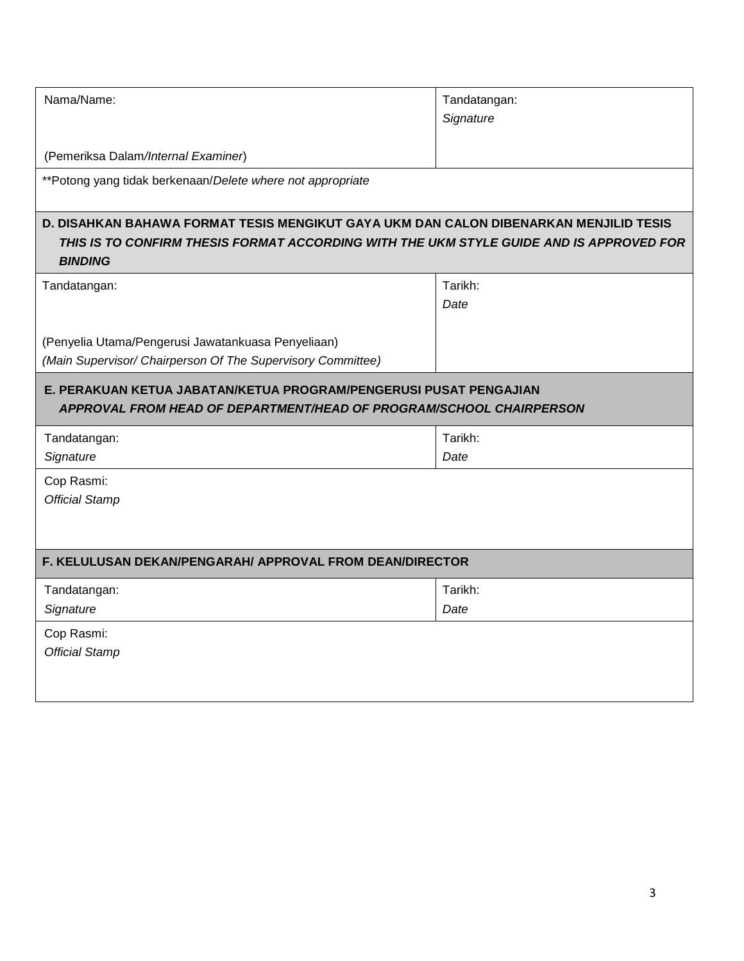| Nama/Name:                                                                                                                                                                                         | Tandatangan: |
|----------------------------------------------------------------------------------------------------------------------------------------------------------------------------------------------------|--------------|
|                                                                                                                                                                                                    | Signature    |
|                                                                                                                                                                                                    |              |
| (Pemeriksa Dalam/Internal Examiner)                                                                                                                                                                |              |
| **Potong yang tidak berkenaan/Delete where not appropriate                                                                                                                                         |              |
| D. DISAHKAN BAHAWA FORMAT TESIS MENGIKUT GAYA UKM DAN CALON DIBENARKAN MENJILID TESIS<br>THIS IS TO CONFIRM THESIS FORMAT ACCORDING WITH THE UKM STYLE GUIDE AND IS APPROVED FOR<br><b>BINDING</b> |              |
| Tandatangan:                                                                                                                                                                                       | Tarikh:      |
|                                                                                                                                                                                                    | Date         |
|                                                                                                                                                                                                    |              |
| (Penyelia Utama/Pengerusi Jawatankuasa Penyeliaan)                                                                                                                                                 |              |
| (Main Supervisor/ Chairperson Of The Supervisory Committee)                                                                                                                                        |              |
| E. PERAKUAN KETUA JABATAN/KETUA PROGRAM/PENGERUSI PUSAT PENGAJIAN<br>APPROVAL FROM HEAD OF DEPARTMENT/HEAD OF PROGRAM/SCHOOL CHAIRPERSON                                                           |              |
| Tandatangan:                                                                                                                                                                                       | Tarikh:      |
| Signature                                                                                                                                                                                          | Date         |
| Cop Rasmi:                                                                                                                                                                                         |              |
| <b>Official Stamp</b>                                                                                                                                                                              |              |
|                                                                                                                                                                                                    |              |
| F. KELULUSAN DEKAN/PENGARAH/ APPROVAL FROM DEAN/DIRECTOR                                                                                                                                           |              |
| Tandatangan:                                                                                                                                                                                       | Tarikh:      |
| Signature                                                                                                                                                                                          | Date         |
| Cop Rasmi:                                                                                                                                                                                         |              |
| <b>Official Stamp</b>                                                                                                                                                                              |              |
|                                                                                                                                                                                                    |              |
|                                                                                                                                                                                                    |              |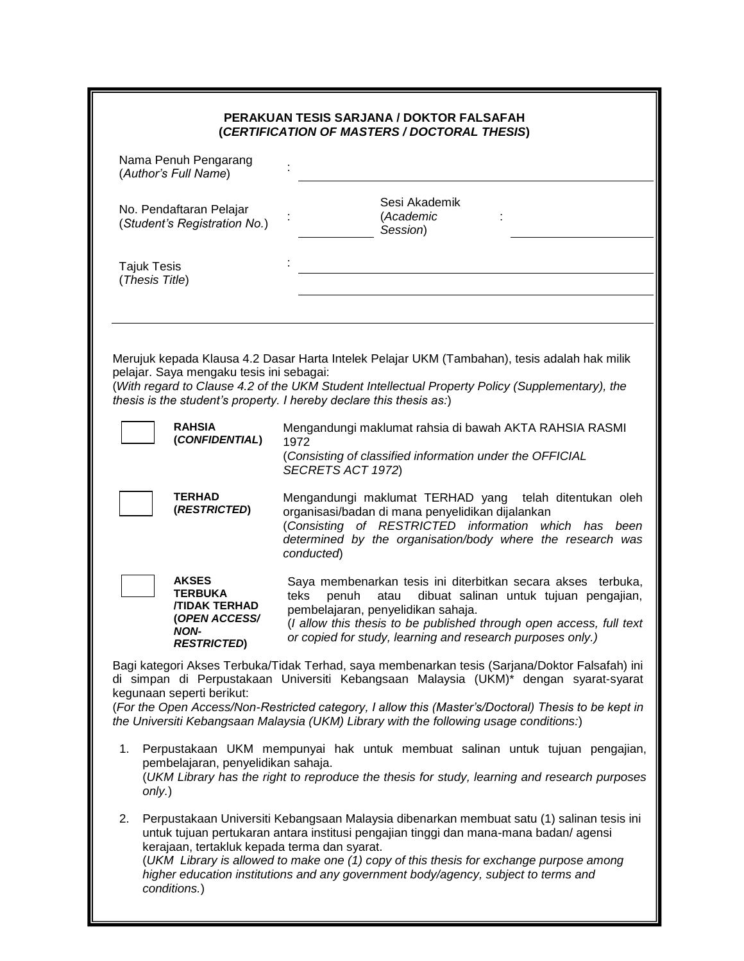| PERAKUAN TESIS SARJANA / DOKTOR FALSAFAH<br>(CERTIFICATION OF MASTERS / DOCTORAL THESIS) |                                                                                                      |                                                                                                                                                                                                                                                                                                                                                                                         |  |
|------------------------------------------------------------------------------------------|------------------------------------------------------------------------------------------------------|-----------------------------------------------------------------------------------------------------------------------------------------------------------------------------------------------------------------------------------------------------------------------------------------------------------------------------------------------------------------------------------------|--|
|                                                                                          | Nama Penuh Pengarang<br>(Author's Full Name)                                                         |                                                                                                                                                                                                                                                                                                                                                                                         |  |
| No. Pendaftaran Pelajar<br>(Student's Registration No.)                                  |                                                                                                      | Sesi Akademik<br>(Academic<br>Session)                                                                                                                                                                                                                                                                                                                                                  |  |
| <b>Tajuk Tesis</b><br>(Thesis Title)                                                     |                                                                                                      |                                                                                                                                                                                                                                                                                                                                                                                         |  |
|                                                                                          | pelajar. Saya mengaku tesis ini sebagai:                                                             | Merujuk kepada Klausa 4.2 Dasar Harta Intelek Pelajar UKM (Tambahan), tesis adalah hak milik<br>(With regard to Clause 4.2 of the UKM Student Intellectual Property Policy (Supplementary), the<br>thesis is the student's property. I hereby declare this thesis as:)                                                                                                                  |  |
|                                                                                          | <b>RAHSIA</b><br>(CONFIDENTIAL)                                                                      | Mengandungi maklumat rahsia di bawah AKTA RAHSIA RASMI<br>1972<br>(Consisting of classified information under the OFFICIAL<br>SECRETS ACT 1972)                                                                                                                                                                                                                                         |  |
|                                                                                          | <b>TERHAD</b><br>(RESTRICTED)                                                                        | Mengandungi maklumat TERHAD yang telah ditentukan oleh<br>organisasi/badan di mana penyelidikan dijalankan<br>(Consisting of RESTRICTED information which has been<br>determined by the organisation/body where the research was<br>conducted)                                                                                                                                          |  |
|                                                                                          | <b>AKSES</b><br>TERBUKA<br><b><i>TIDAK TERHAD</i></b><br>(OPEN ACCESS/<br>NON-<br><b>RESTRICTED)</b> | Saya membenarkan tesis ini diterbitkan secara akses terbuka,<br>dibuat salinan untuk tujuan pengajian,<br>teks<br>penuh<br>atau<br>pembelajaran, penyelidikan sahaja.<br>(I allow this thesis to be published through open access, full text<br>or copied for study, learning and research purposes only.)                                                                              |  |
|                                                                                          | kegunaan seperti berikut:                                                                            | Bagi kategori Akses Terbuka/Tidak Terhad, saya membenarkan tesis (Sarjana/Doktor Falsafah) ini<br>di simpan di Perpustakaan Universiti Kebangsaan Malaysia (UKM)* dengan syarat-syarat<br>(For the Open Access/Non-Restricted category, I allow this (Master's/Doctoral) Thesis to be kept in<br>the Universiti Kebangsaan Malaysia (UKM) Library with the following usage conditions:) |  |
| 1.<br>only.)                                                                             | pembelajaran, penyelidikan sahaja.                                                                   | Perpustakaan UKM mempunyai hak untuk membuat salinan untuk tujuan pengajian,<br>(UKM Library has the right to reproduce the thesis for study, learning and research purposes                                                                                                                                                                                                            |  |
| 2.                                                                                       | kerajaan, tertakluk kepada terma dan syarat.<br>conditions.)                                         | Perpustakaan Universiti Kebangsaan Malaysia dibenarkan membuat satu (1) salinan tesis ini<br>untuk tujuan pertukaran antara institusi pengajian tinggi dan mana-mana badan/agensi<br>(UKM Library is allowed to make one (1) copy of this thesis for exchange purpose among<br>higher education institutions and any government body/agency, subject to terms and                       |  |